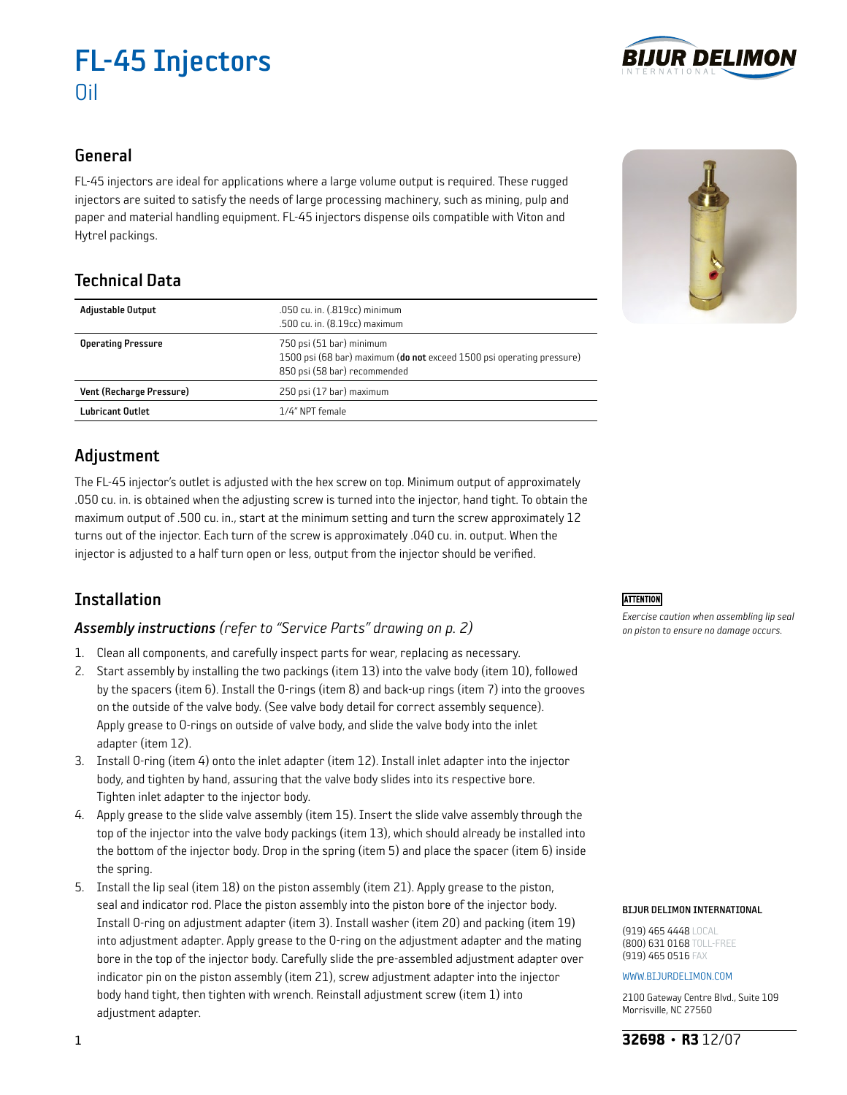# FL-45 Injectors Oil

## General

FL-45 injectors are ideal for applications where a large volume output is required. These rugged injectors are suited to satisfy the needs of large processing machinery, such as mining, pulp and paper and material handling equipment. FL-45 injectors dispense oils compatible with Viton and Hytrel packings.

# Technical Data

| <b>Adjustable Output</b>  | .050 cu. in. (.819cc) minimum<br>.500 cu. in. (8.19cc) maximum                                                                    |  |
|---------------------------|-----------------------------------------------------------------------------------------------------------------------------------|--|
| <b>Operating Pressure</b> | 750 psi (51 bar) minimum<br>1500 psi (68 bar) maximum (do not exceed 1500 psi operating pressure)<br>850 psi (58 bar) recommended |  |
| Vent (Recharge Pressure)  | 250 psi (17 bar) maximum                                                                                                          |  |
| <b>Lubricant Outlet</b>   | 1/4" NPT female                                                                                                                   |  |

# Adjustment

The FL-45 injector's outlet is adjusted with the hex screw on top. Minimum output of approximately .050 cu. in. is obtained when the adjusting screw is turned into the injector, hand tight. To obtain the maximum output of .500 cu. in., start at the minimum setting and turn the screw approximately 12 turns out of the injector. Each turn of the screw is approximately .040 cu. in. output. When the injector is adjusted to a half turn open or less, output from the injector should be verified.

# Installation

### *Assembly instructions (refer to "Service Parts" drawing on p. 2)*

- 1. Clean all components, and carefully inspect parts for wear, replacing as necessary.
- 2. Start assembly by installing the two packings (item 13) into the valve body (item 10), followed by the spacers (item 6). Install the O-rings (item 8) and back-up rings (item 7) into the grooves on the outside of the valve body. (See valve body detail for correct assembly sequence). Apply grease to O-rings on outside of valve body, and slide the valve body into the inlet adapter (item 12).
- 3. Install O-ring (item 4) onto the inlet adapter (item 12). Install inlet adapter into the injector body, and tighten by hand, assuring that the valve body slides into its respective bore. Tighten inlet adapter to the injector body.
- 4. Apply grease to the slide valve assembly (item 15). Insert the slide valve assembly through the top of the injector into the valve body packings (item 13), which should already be installed into the bottom of the injector body. Drop in the spring (item 5) and place the spacer (item 6) inside the spring.
- 5. Install the lip seal (item 18) on the piston assembly (item 21). Apply grease to the piston, seal and indicator rod. Place the piston assembly into the piston bore of the injector body. Install O-ring on adjustment adapter (item 3). Install washer (item 20) and packing (item 19) into adjustment adapter. Apply grease to the O-ring on the adjustment adapter and the mating bore in the top of the injector body. Carefully slide the pre-assembled adjustment adapter over indicator pin on the piston assembly (item 21), screw adjustment adapter into the injector body hand tight, then tighten with wrench. Reinstall adjustment screw (item 1) into adjustment adapter.

### **ATTENTION**

*Exercise caution when assembling lip seal on piston to ensure no damage occurs.*

#### BIJUR DELIMON INTERNATIONAL

(919) 465 4448 LOCAL (800) 631 0168 TOLL-FREE (919) 465 0516 FAX

#### www.bijurdelimon.coM

2100 Gateway Centre Blvd., Suite 109 Morrisville, NC 27560